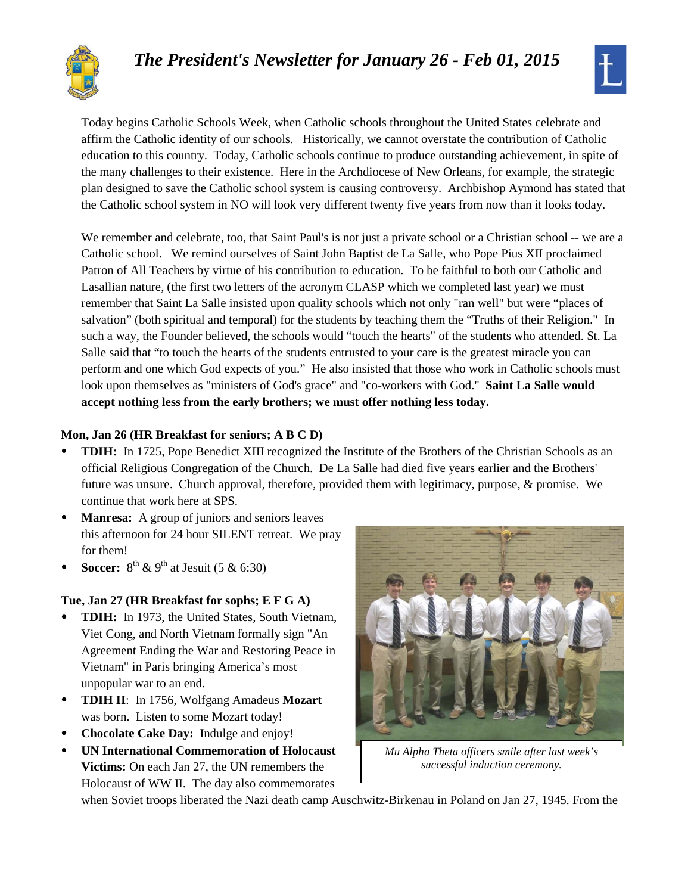# *The President's Newsletter for January 26 - Feb 01, 2015*





Today begins Catholic Schools Week, when Catholic schools throughout the United States celebrate and affirm the Catholic identity of our schools. Historically, we cannot overstate the contribution of Catholic education to this country. Today, Catholic schools continue to produce outstanding achievement, in spite of the many challenges to their existence. Here in the Archdiocese of New Orleans, for example, the strategic plan designed to save the Catholic school system is causing controversy. Archbishop Aymond has stated that the Catholic school system in NO will look very different twenty five years from now than it looks today.

We remember and celebrate, too, that Saint Paul's is not just a private school or a Christian school -- we are a Catholic school. We remind ourselves of Saint John Baptist de La Salle, who Pope Pius XII proclaimed Patron of All Teachers by virtue of his contribution to education. To be faithful to both our Catholic and Lasallian nature, (the first two letters of the acronym CLASP which we completed last year) we must remember that Saint La Salle insisted upon quality schools which not only "ran well" but were "places of salvation" (both spiritual and temporal) for the students by teaching them the "Truths of their Religion." In such a way, the Founder believed, the schools would "touch the hearts" of the students who attended. St. La Salle said that "to touch the hearts of the students entrusted to your care is the greatest miracle you can perform and one which God expects of you." He also insisted that those who work in Catholic schools must look upon themselves as "ministers of God's grace" and "co-workers with God." **Saint La Salle would accept nothing less from the early brothers; we must offer nothing less today.**

# **Mon, Jan 26 (HR Breakfast for seniors; A B C D)**

- **TDIH:** In 1725, Pope Benedict XIII recognized the Institute of the Brothers of the Christian Schools as an official Religious Congregation of the Church. De La Salle had died five years earlier and the Brothers' future was unsure. Church approval, therefore, provided them with legitimacy, purpose, & promise. We continue that work here at SPS.
- **Manresa:** A group of juniors and seniors leaves this afternoon for 24 hour SILENT retreat. We pray for them!
- **Soccer:**  $8^{th}$  & 9<sup>th</sup> at Jesuit (5 & 6:30)

# **Tue, Jan 27 (HR Breakfast for sophs; E F G A)**

- **TDIH:** In 1973, the United States, South Vietnam, Viet Cong, and North Vietnam formally sign "An Agreement Ending the War and Restoring Peace in Vietnam" in Paris bringing America's most unpopular war to an end.
- **TDIH II**: In 1756, Wolfgang Amadeus **Mozart** was born. Listen to some Mozart today!
- **Chocolate Cake Day:** Indulge and enjoy!
- **UN International Commemoration of Holocaust Victims:** On each Jan 27, the UN remembers the Holocaust of WW II. The day also commemorates



*Mu Alpha Theta officers smile after last week's successful induction ceremony.*

when Soviet troops liberated the Nazi death camp Auschwitz-Birkenau in Poland on Jan 27, 1945. From the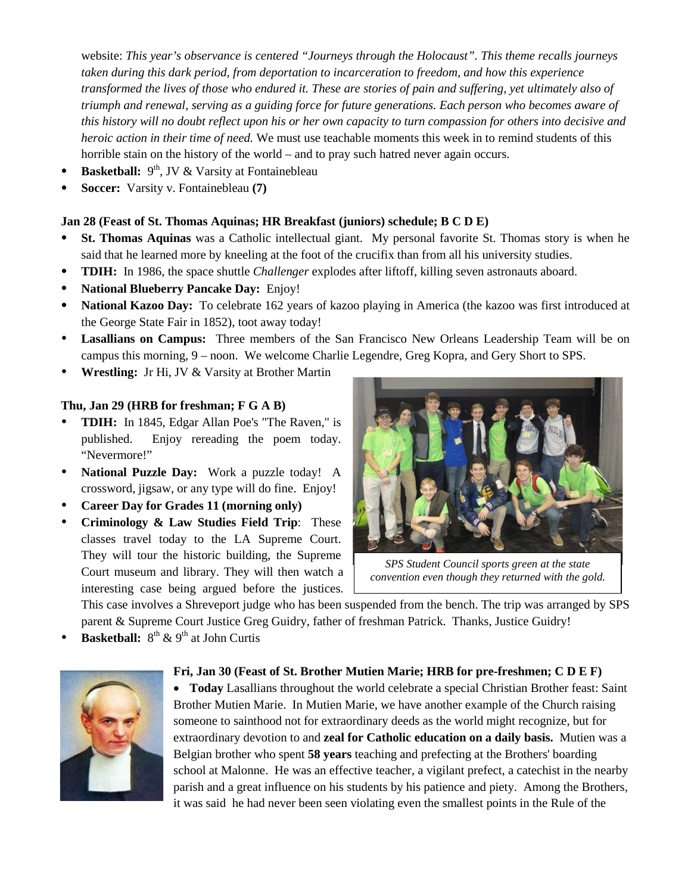website: *This year's observance is centered "Journeys through the Holocaust". This theme recalls journeys taken during this dark period, from deportation to incarceration to freedom, and how this experience transformed the lives of those who endured it. These are stories of pain and suffering, yet ultimately also of triumph and renewal, serving as a guiding force for future generations. Each person who becomes aware of this history will no doubt reflect upon his or her own capacity to turn compassion for others into decisive and heroic action in their time of need.* We must use teachable moments this week in to remind students of this horrible stain on the history of the world – and to pray such hatred never again occurs.

- **Basketball:**  $9<sup>th</sup>$ , JV & Varsity at Fontainebleau
- **Soccer:** Varsity v. Fontainebleau **(7)**

## **Jan 28 (Feast of St. Thomas Aquinas; HR Breakfast (juniors) schedule; B C D E)**

- **St. Thomas Aquinas** was a Catholic intellectual giant. My personal favorite St. Thomas story is when he said that he learned more by kneeling at the foot of the crucifix than from all his university studies.
- **TDIH:** In 1986, the space shuttle *Challenger* explodes after liftoff, killing seven astronauts aboard.
- **National Blueberry Pancake Day:** Enjoy!
- **National Kazoo Day:** To celebrate 162 years of kazoo playing in America (the kazoo was first introduced at the George State Fair in 1852), toot away today!
- **Lasallians on Campus:** Three members of the San Francisco New Orleans Leadership Team will be on campus this morning, 9 – noon. We welcome Charlie Legendre, Greg Kopra, and Gery Short to SPS.
- **Wrestling:** Jr Hi, JV & Varsity at Brother Martin

## **Thu, Jan 29 (HRB for freshman; F G A B)**

- **TDIH:** In 1845, Edgar Allan Poe's "The Raven," is published. Enjoy rereading the poem today. "Nevermore!"
- **National Puzzle Day:** Work a puzzle today! A crossword, jigsaw, or any type will do fine. Enjoy!
- **Career Day for Grades 11 (morning only)**
- **Criminology & Law Studies Field Trip**: These classes travel today to the LA Supreme Court. They will tour the historic building, the Supreme Court museum and library. They will then watch a interesting case being argued before the justices.



*SPS Student Council sports green at the state convention even though they returned with the gold.*

This case involves a Shreveport judge who has been suspended from the bench. The trip was arranged by SPS

parent & Supreme Court Justice Greg Guidry, father of freshman Patrick. Thanks, Justice Guidry!

**Basketball:**  $8^{th}$  & 9<sup>th</sup> at John Curtis



#### **Fri, Jan 30 (Feast of St. Brother Mutien Marie; HRB for pre-freshmen; C D E F)**

• **Today** Lasallians throughout the world celebrate a special Christian Brother feast: Saint Brother Mutien Marie. In Mutien Marie, we have another example of the Church raising someone to sainthood not for extraordinary deeds as the world might recognize, but for extraordinary devotion to and **zeal for Catholic education on a daily basis.** Mutien was a Belgian brother who spent **58 years** teaching and prefecting at the Brothers' boarding school at Malonne. He was an effective teacher, a vigilant prefect, a catechist in the nearby parish and a great influence on his students by his patience and piety. Among the Brothers, it was said he had never been seen violating even the smallest points in the Rule of the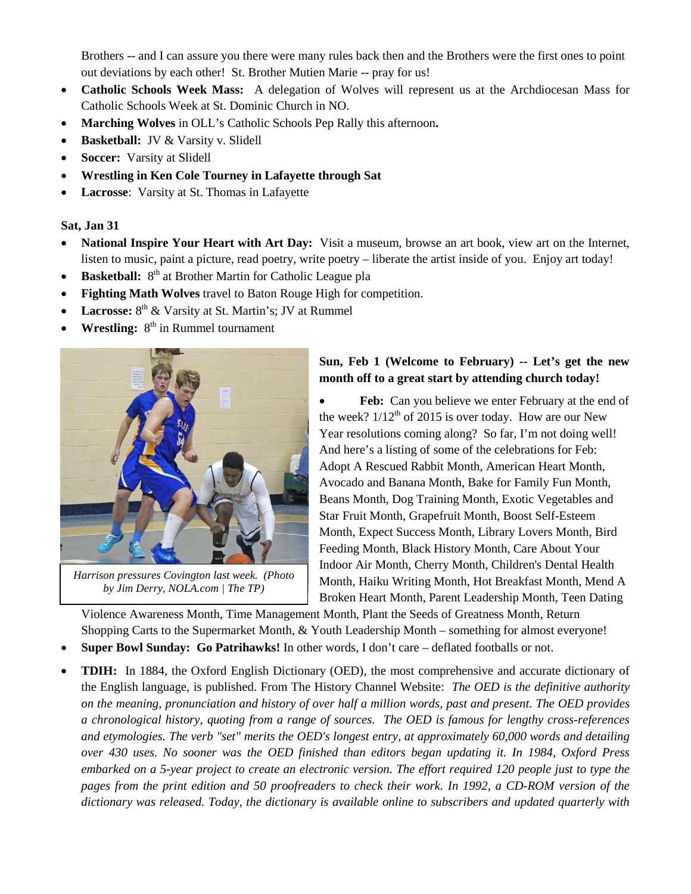Brothers -- and I can assure you there were many rules back then and the Brothers were the first ones to point out deviations by each other! St. Brother Mutien Marie -- pray for us!

- **Catholic Schools Week Mass:** A delegation of Wolves will represent us at the Archdiocesan Mass for Catholic Schools Week at St. Dominic Church in NO.
- **Marching Wolves** in OLL's Catholic Schools Pep Rally this afternoon**.**
- **Basketball:**JV & Varsity v. Slidell
- **Soccer:** Varsity at Slidell
- **Wrestling in Ken Cole Tourney in Lafayette through Sat**
- **Lacrosse**: Varsity at St. Thomas in Lafayette

#### **Sat, Jan 31**

- **National Inspire Your Heart with Art Day:** Visit a museum, browse an art book, view art on the Internet, listen to music, paint a picture, read poetry, write poetry – liberate the artist inside of you. Enjoy art today!
- **Basketball:** 8<sup>th</sup> at Brother Martin for Catholic League pla
- **Fighting Math Wolves** travel to Baton Rouge High for competition.
- **Lacrosse:**  $8^{th}$  & Varsity at St. Martin's; JV at Rummel
- **Wrestling:**  $8<sup>th</sup>$  in Rummel tournament



*Harrison pressures Covington last week. (Photo by Jim Derry, NOLA.com | The TP)*

## **Sun, Feb 1 (Welcome to February) -- Let's get the new month off to a great start by attending church today!**

Feb: Can you believe we enter February at the end of the week?  $1/12^{th}$  of 2015 is over today. How are our New Year resolutions coming along? So far, I'm not doing well! And here's a listing of some of the celebrations for Feb: Adopt A Rescued Rabbit Month, American Heart Month, Avocado and Banana Month, Bake for Family Fun Month, Beans Month, Dog Training Month, Exotic Vegetables and Star Fruit Month, Grapefruit Month, Boost Self-Esteem Month, Expect Success Month, Library Lovers Month, Bird Feeding Month, Black History Month, Care About Your Indoor Air Month, Cherry Month, Children's Dental Health Month, Haiku Writing Month, Hot Breakfast Month, Mend A Broken Heart Month, Parent Leadership Month, Teen Dating

Violence Awareness Month, Time Management Month, Plant the Seeds of Greatness Month, Return Shopping Carts to the Supermarket Month, & Youth Leadership Month – something for almost everyone!

- **Super Bowl Sunday: Go Patrihawks!** In other words, I don't care deflated footballs or not.
- **TDIH:** In 1884, the Oxford English Dictionary (OED), the most comprehensive and accurate dictionary of the English language, is published. From The History Channel Website: *The OED is the definitive authority on the meaning, pronunciation and history of over half a million words, past and present. The OED provides a chronological history, quoting from a range of sources. The OED is famous for lengthy cross-references and etymologies. The verb "set" merits the OED's longest entry, at approximately 60,000 words and detailing over 430 uses. No sooner was the OED finished than editors began updating it. In 1984, Oxford Press embarked on a 5-year project to create an electronic version. The effort required 120 people just to type the pages from the print edition and 50 proofreaders to check their work. In 1992, a CD-ROM version of the dictionary was released. Today, the dictionary is available online to subscribers and updated quarterly with*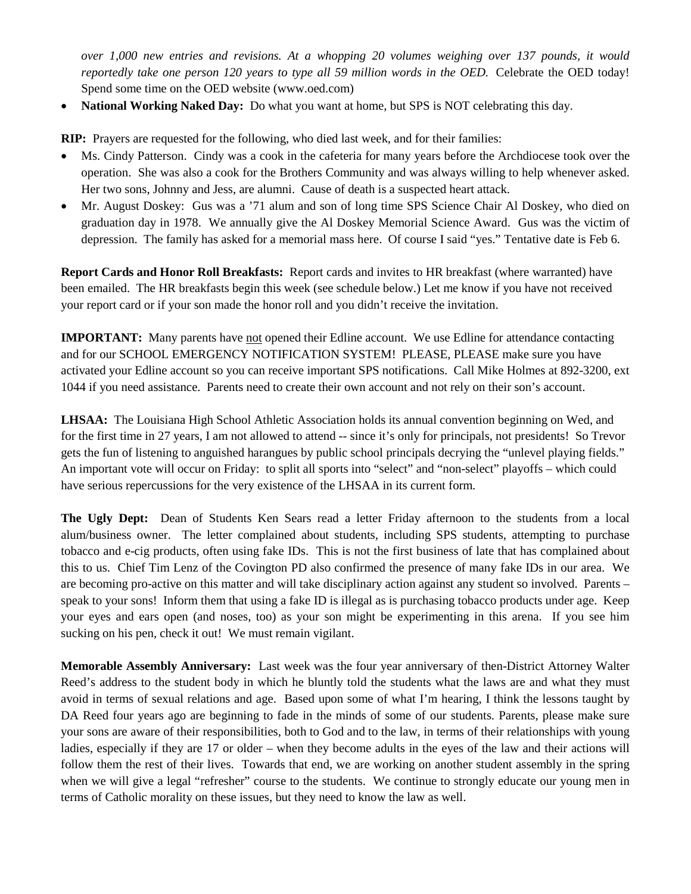*over 1,000 new entries and revisions. At a whopping 20 volumes weighing over 137 pounds, it would reportedly take one person 120 years to type all 59 million words in the OED.* Celebrate the OED today! Spend some time on the OED website (www.oed.com)

• National Working Naked Day: Do what you want at home, but SPS is NOT celebrating this day.

**RIP:** Prayers are requested for the following, who died last week, and for their families:

- Ms. Cindy Patterson. Cindy was a cook in the cafeteria for many years before the Archdiocese took over the operation. She was also a cook for the Brothers Community and was always willing to help whenever asked. Her two sons, Johnny and Jess, are alumni. Cause of death is a suspected heart attack.
- Mr. August Doskey: Gus was a '71 alum and son of long time SPS Science Chair Al Doskey, who died on graduation day in 1978. We annually give the Al Doskey Memorial Science Award. Gus was the victim of depression. The family has asked for a memorial mass here. Of course I said "yes." Tentative date is Feb 6.

**Report Cards and Honor Roll Breakfasts:** Report cards and invites to HR breakfast (where warranted) have been emailed. The HR breakfasts begin this week (see schedule below.) Let me know if you have not received your report card or if your son made the honor roll and you didn't receive the invitation.

**IMPORTANT:** Many parents have not opened their Edline account. We use Edline for attendance contacting and for our SCHOOL EMERGENCY NOTIFICATION SYSTEM! PLEASE, PLEASE make sure you have activated your Edline account so you can receive important SPS notifications. Call Mike Holmes at 892-3200, ext 1044 if you need assistance. Parents need to create their own account and not rely on their son's account.

**LHSAA:** The Louisiana High School Athletic Association holds its annual convention beginning on Wed, and for the first time in 27 years, I am not allowed to attend -- since it's only for principals, not presidents! So Trevor gets the fun of listening to anguished harangues by public school principals decrying the "unlevel playing fields." An important vote will occur on Friday: to split all sports into "select" and "non-select" playoffs – which could have serious repercussions for the very existence of the LHSAA in its current form.

**The Ugly Dept:** Dean of Students Ken Sears read a letter Friday afternoon to the students from a local alum/business owner. The letter complained about students, including SPS students, attempting to purchase tobacco and e-cig products, often using fake IDs. This is not the first business of late that has complained about this to us. Chief Tim Lenz of the Covington PD also confirmed the presence of many fake IDs in our area. We are becoming pro-active on this matter and will take disciplinary action against any student so involved. Parents – speak to your sons! Inform them that using a fake ID is illegal as is purchasing tobacco products under age. Keep your eyes and ears open (and noses, too) as your son might be experimenting in this arena. If you see him sucking on his pen, check it out! We must remain vigilant.

**Memorable Assembly Anniversary:** Last week was the four year anniversary of then-District Attorney Walter Reed's address to the student body in which he bluntly told the students what the laws are and what they must avoid in terms of sexual relations and age. Based upon some of what I'm hearing, I think the lessons taught by DA Reed four years ago are beginning to fade in the minds of some of our students. Parents, please make sure your sons are aware of their responsibilities, both to God and to the law, in terms of their relationships with young ladies, especially if they are 17 or older – when they become adults in the eyes of the law and their actions will follow them the rest of their lives. Towards that end, we are working on another student assembly in the spring when we will give a legal "refresher" course to the students. We continue to strongly educate our young men in terms of Catholic morality on these issues, but they need to know the law as well.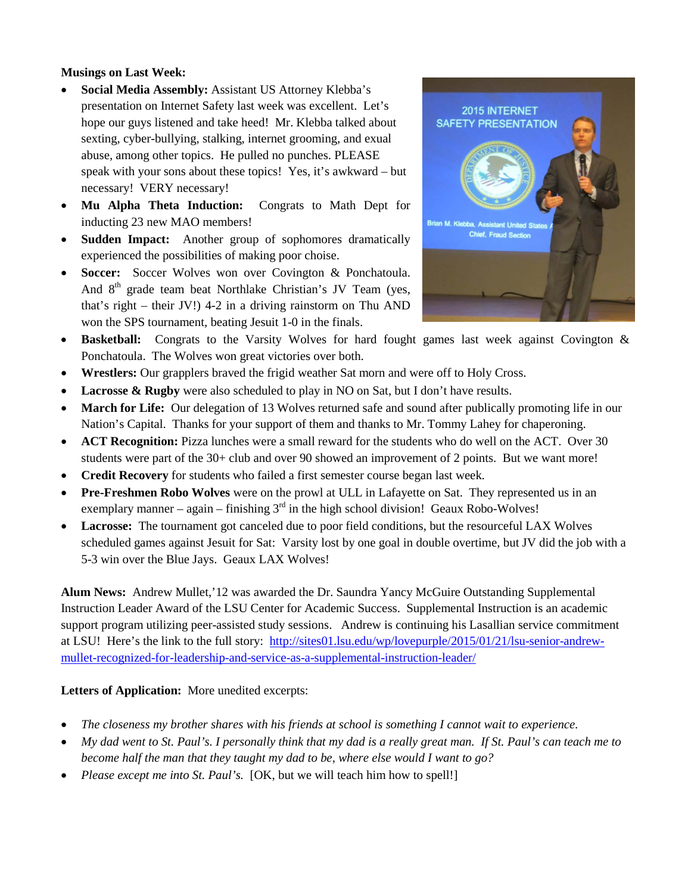## **Musings on Last Week:**

- **Social Media Assembly:** Assistant US Attorney Klebba's presentation on Internet Safety last week was excellent. Let's hope our guys listened and take heed! Mr. Klebba talked about sexting, cyber-bullying, stalking, internet grooming, and exual abuse, among other topics. He pulled no punches. PLEASE speak with your sons about these topics! Yes, it's awkward – but necessary! VERY necessary!
- **Mu Alpha Theta Induction:** Congrats to Math Dept for inducting 23 new MAO members!
- **Sudden Impact:** Another group of sophomores dramatically experienced the possibilities of making poor choise.
- **Soccer:** Soccer Wolves won over Covington & Ponchatoula. And  $8<sup>th</sup>$  grade team beat Northlake Christian's JV Team (yes, that's right – their JV!) 4-2 in a driving rainstorm on Thu AND won the SPS tournament, beating Jesuit 1-0 in the finals.



- **Basketball:** Congrats to the Varsity Wolves for hard fought games last week against Covington & Ponchatoula. The Wolves won great victories over both.
- **Wrestlers:** Our grapplers braved the frigid weather Sat morn and were off to Holy Cross.
- Lacrosse & Rugby were also scheduled to play in NO on Sat, but I don't have results.
- **March for Life:** Our delegation of 13 Wolves returned safe and sound after publically promoting life in our Nation's Capital. Thanks for your support of them and thanks to Mr. Tommy Lahey for chaperoning.
- **ACT Recognition:** Pizza lunches were a small reward for the students who do well on the ACT. Over 30 students were part of the 30+ club and over 90 showed an improvement of 2 points. But we want more!
- **Credit Recovery** for students who failed a first semester course began last week.
- **Pre-Freshmen Robo Wolves** were on the prowl at ULL in Lafayette on Sat. They represented us in an exemplary manner – again – finishing  $3<sup>rd</sup>$  in the high school division! Geaux Robo-Wolves!
- Lacrosse: The tournament got canceled due to poor field conditions, but the resourceful LAX Wolves scheduled games against Jesuit for Sat: Varsity lost by one goal in double overtime, but JV did the job with a 5-3 win over the Blue Jays. Geaux LAX Wolves!

**Alum News:** Andrew Mullet,'12 was awarded the Dr. Saundra Yancy McGuire Outstanding Supplemental Instruction Leader Award of the LSU Center for Academic Success. Supplemental Instruction is an academic support program utilizing peer-assisted study sessions. Andrew is continuing his Lasallian service commitment at LSU! Here's the link to the full story: [http://sites01.lsu.edu/wp/lovepurple/2015/01/21/lsu-senior-andrew](http://sites01.lsu.edu/wp/lovepurple/2015/01/21/lsu-senior-andrew-mullet-recognized-for-leadership-and-service-as-a-supplemental-instruction-leader/)[mullet-recognized-for-leadership-and-service-as-a-supplemental-instruction-leader/](http://sites01.lsu.edu/wp/lovepurple/2015/01/21/lsu-senior-andrew-mullet-recognized-for-leadership-and-service-as-a-supplemental-instruction-leader/)

# **Letters of Application:** More unedited excerpts:

- *The closeness my brother shares with his friends at school is something I cannot wait to experience.*
- *My dad went to St. Paul's. I personally think that my dad is a really great man. If St. Paul's can teach me to become half the man that they taught my dad to be, where else would I want to go?*
- *Please except me into St. Paul's.* [OK, but we will teach him how to spell!]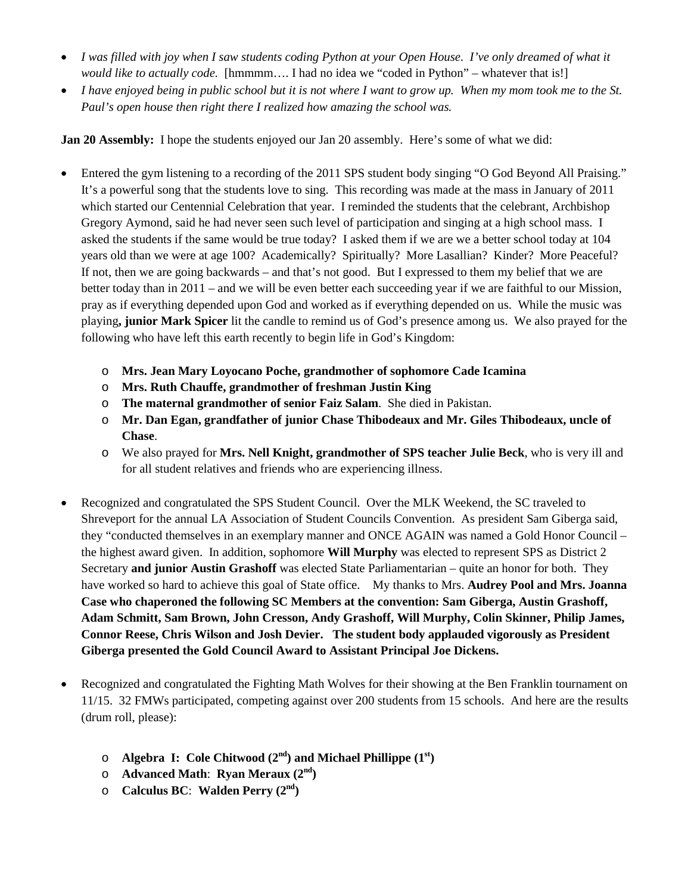- *I was filled with joy when I saw students coding Python at your Open House. I've only dreamed of what it would like to actually code.* [hmmmm…. I had no idea we "coded in Python" – whatever that is!]
- *I have enjoyed being in public school but it is not where I want to grow up. When my mom took me to the St. Paul's open house then right there I realized how amazing the school was.*

**Jan 20 Assembly:** I hope the students enjoyed our Jan 20 assembly. Here's some of what we did:

- Entered the gym listening to a recording of the 2011 SPS student body singing "O God Beyond All Praising." It's a powerful song that the students love to sing. This recording was made at the mass in January of 2011 which started our Centennial Celebration that year. I reminded the students that the celebrant, Archbishop Gregory Aymond, said he had never seen such level of participation and singing at a high school mass. I asked the students if the same would be true today? I asked them if we are we a better school today at 104 years old than we were at age 100? Academically? Spiritually? More Lasallian? Kinder? More Peaceful? If not, then we are going backwards – and that's not good. But I expressed to them my belief that we are better today than in 2011 – and we will be even better each succeeding year if we are faithful to our Mission, pray as if everything depended upon God and worked as if everything depended on us. While the music was playing**, junior Mark Spicer** lit the candle to remind us of God's presence among us. We also prayed for the following who have left this earth recently to begin life in God's Kingdom:
	- o **Mrs. Jean Mary Loyocano Poche, grandmother of sophomore Cade Icamina**
	- o **Mrs. Ruth Chauffe, grandmother of freshman Justin King**
	- o **The maternal grandmother of senior Faiz Salam**. She died in Pakistan.
	- o **Mr. Dan Egan, grandfather of junior Chase Thibodeaux and Mr. Giles Thibodeaux, uncle of Chase**.
	- o We also prayed for **Mrs. Nell Knight, grandmother of SPS teacher Julie Beck**, who is very ill and for all student relatives and friends who are experiencing illness.
- Recognized and congratulated the SPS Student Council. Over the MLK Weekend, the SC traveled to Shreveport for the annual LA Association of Student Councils Convention. As president Sam Giberga said, they "conducted themselves in an exemplary manner and ONCE AGAIN was named a Gold Honor Council – the highest award given. In addition, sophomore **Will Murphy** was elected to represent SPS as District 2 Secretary **and junior Austin Grashoff** was elected State Parliamentarian – quite an honor for both. They have worked so hard to achieve this goal of State office. My thanks to Mrs. **Audrey Pool and Mrs. Joanna Case who chaperoned the following SC Members at the convention: Sam Giberga, Austin Grashoff, Adam Schmitt, Sam Brown, John Cresson, Andy Grashoff, Will Murphy, Colin Skinner, Philip James, Connor Reese, Chris Wilson and Josh Devier. The student body applauded vigorously as President Giberga presented the Gold Council Award to Assistant Principal Joe Dickens.**
- Recognized and congratulated the Fighting Math Wolves for their showing at the Ben Franklin tournament on 11/15. 32 FMWs participated, competing against over 200 students from 15 schools. And here are the results (drum roll, please):
	- o **Algebra I: Cole Chitwood (2nd) and Michael Phillippe (1st)**
	- o **Advanced Math**: **Ryan Meraux (2nd)**
	- o **Calculus BC**: **Walden Perry (2nd)**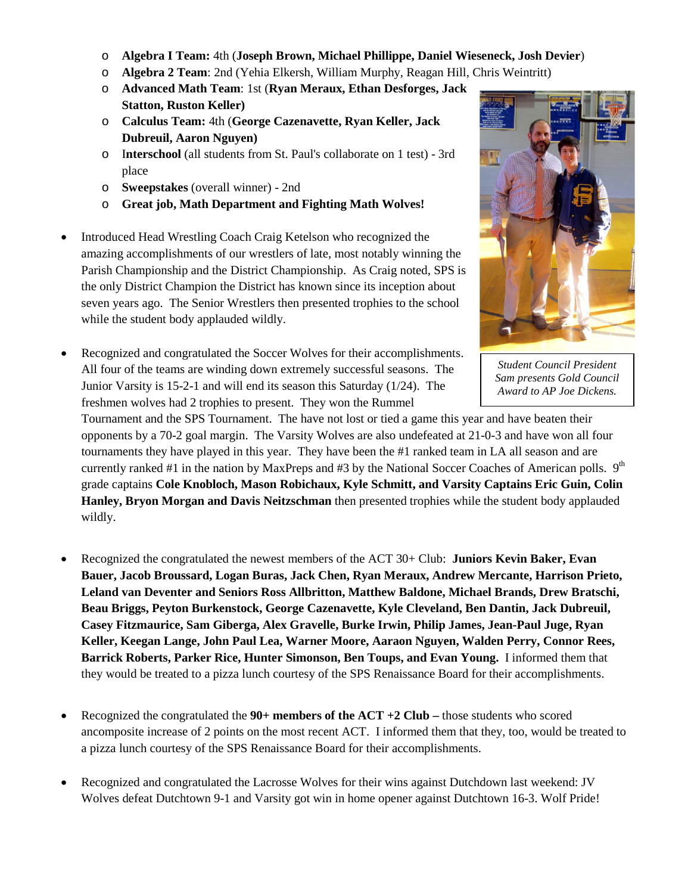- o **Algebra I Team:** 4th (**Joseph Brown, Michael Phillippe, Daniel Wieseneck, Josh Devier**)
- o **Algebra 2 Team**: 2nd (Yehia Elkersh, William Murphy, Reagan Hill, Chris Weintritt)
- o **Advanced Math Team**: 1st (**Ryan Meraux, Ethan Desforges, Jack Statton, Ruston Keller)**
- o **Calculus Team:** 4th (**George Cazenavette, Ryan Keller, Jack Dubreuil, Aaron Nguyen)**
- o I**nterschool** (all students from St. Paul's collaborate on 1 test) 3rd place
- o **Sweepstakes** (overall winner) 2nd
- o **Great job, Math Department and Fighting Math Wolves!**
- Introduced Head Wrestling Coach Craig Ketelson who recognized the amazing accomplishments of our wrestlers of late, most notably winning the Parish Championship and the District Championship. As Craig noted, SPS is the only District Champion the District has known since its inception about seven years ago. The Senior Wrestlers then presented trophies to the school while the student body applauded wildly.



*Student Council President Sam presents Gold Council Award to AP Joe Dickens.*

Tournament and the SPS Tournament. The have not lost or tied a game this year and have beaten their opponents by a 70-2 goal margin. The Varsity Wolves are also undefeated at 21-0-3 and have won all four tournaments they have played in this year. They have been the #1 ranked team in LA all season and are currently ranked #1 in the nation by MaxPreps and #3 by the National Soccer Coaches of American polls.  $9<sup>th</sup>$ grade captains **Cole Knobloch, Mason Robichaux, Kyle Schmitt, and Varsity Captains Eric Guin, Colin Hanley, Bryon Morgan and Davis Neitzschman** then presented trophies while the student body applauded wildly.

- Recognized the congratulated the newest members of the ACT 30+ Club: **Juniors Kevin Baker, Evan Bauer, Jacob Broussard, Logan Buras, Jack Chen, Ryan Meraux, Andrew Mercante, Harrison Prieto, Leland van Deventer and Seniors Ross Allbritton, Matthew Baldone, Michael Brands, Drew Bratschi, Beau Briggs, Peyton Burkenstock, George Cazenavette, Kyle Cleveland, Ben Dantin, Jack Dubreuil, Casey Fitzmaurice, Sam Giberga, Alex Gravelle, Burke Irwin, Philip James, Jean-Paul Juge, Ryan Keller, Keegan Lange, John Paul Lea, Warner Moore, Aaraon Nguyen, Walden Perry, Connor Rees, Barrick Roberts, Parker Rice, Hunter Simonson, Ben Toups, and Evan Young.** I informed them that they would be treated to a pizza lunch courtesy of the SPS Renaissance Board for their accomplishments.
- Recognized the congratulated the **90+ members of the ACT +2 Club –** those students who scored ancomposite increase of 2 points on the most recent ACT. I informed them that they, too, would be treated to a pizza lunch courtesy of the SPS Renaissance Board for their accomplishments.
- Recognized and congratulated the Lacrosse Wolves for their wins against Dutchdown last weekend: JV Wolves defeat Dutchtown 9-1 and Varsity got win in home opener against Dutchtown 16-3. Wolf Pride!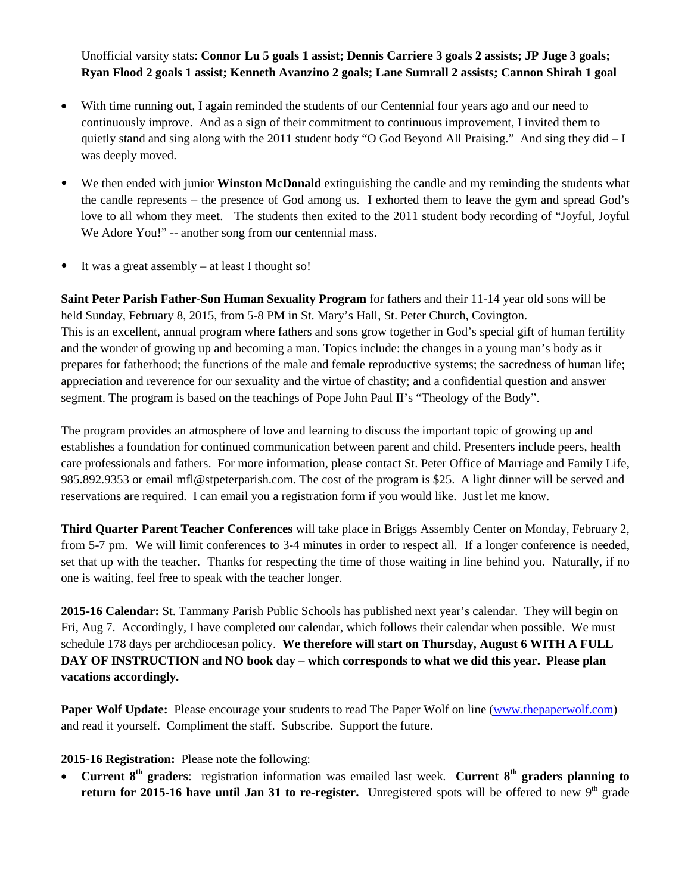Unofficial varsity stats: **Connor Lu 5 goals 1 assist; Dennis Carriere 3 goals 2 assists; JP Juge 3 goals; Ryan Flood 2 goals 1 assist; Kenneth Avanzino 2 goals; Lane Sumrall 2 assists; Cannon Shirah 1 goal**

- With time running out, I again reminded the students of our Centennial four years ago and our need to continuously improve. And as a sign of their commitment to continuous improvement, I invited them to quietly stand and sing along with the 2011 student body "O God Beyond All Praising." And sing they did – I was deeply moved.
- We then ended with junior **Winston McDonald** extinguishing the candle and my reminding the students what the candle represents – the presence of God among us. I exhorted them to leave the gym and spread God's love to all whom they meet.The students then exited to the 2011 student body recording of "Joyful, Joyful We Adore You!" -- another song from our centennial mass.
- It was a great assembly at least I thought so!

**Saint Peter Parish Father-Son Human Sexuality Program** for fathers and their 11-14 year old sons will be held Sunday, February 8, 2015, from 5-8 PM in St. Mary's Hall, St. Peter Church, Covington. This is an excellent, annual program where fathers and sons grow together in God's special gift of human fertility and the wonder of growing up and becoming a man. Topics include: the changes in a young man's body as it prepares for fatherhood; the functions of the male and female reproductive systems; the sacredness of human life; appreciation and reverence for our sexuality and the virtue of chastity; and a confidential question and answer segment. The program is based on the teachings of Pope John Paul II's "Theology of the Body".

The program provides an atmosphere of love and learning to discuss the important topic of growing up and establishes a foundation for continued communication between parent and child. Presenters include peers, health care professionals and fathers. For more information, please contact St. Peter Office of Marriage and Family Life, 985.892.9353 or email mfl@stpeterparish.com. The cost of the program is \$25. A light dinner will be served and reservations are required. I can email you a registration form if you would like. Just let me know.

**Third Quarter Parent Teacher Conferences** will take place in Briggs Assembly Center on Monday, February 2, from 5-7 pm. We will limit conferences to 3-4 minutes in order to respect all. If a longer conference is needed, set that up with the teacher. Thanks for respecting the time of those waiting in line behind you. Naturally, if no one is waiting, feel free to speak with the teacher longer.

**2015-16 Calendar:** St. Tammany Parish Public Schools has published next year's calendar. They will begin on Fri, Aug 7. Accordingly, I have completed our calendar, which follows their calendar when possible. We must schedule 178 days per archdiocesan policy. **We therefore will start on Thursday, August 6 WITH A FULL DAY OF INSTRUCTION and NO book day – which corresponds to what we did this year. Please plan vacations accordingly.**

**Paper Wolf Update:** Please encourage your students to read The Paper Wolf on line [\(www.thepaperwolf.com\)](http://www.thepaperwolf.com/) and read it yourself. Compliment the staff. Subscribe. Support the future.

**2015-16 Registration:** Please note the following:

**Current 8<sup>th</sup> graders**: registration information was emailed last week. **Current 8<sup>th</sup> graders planning to return for 2015-16 have until Jan 31 to re-register.** Unregistered spots will be offered to new 9<sup>th</sup> grade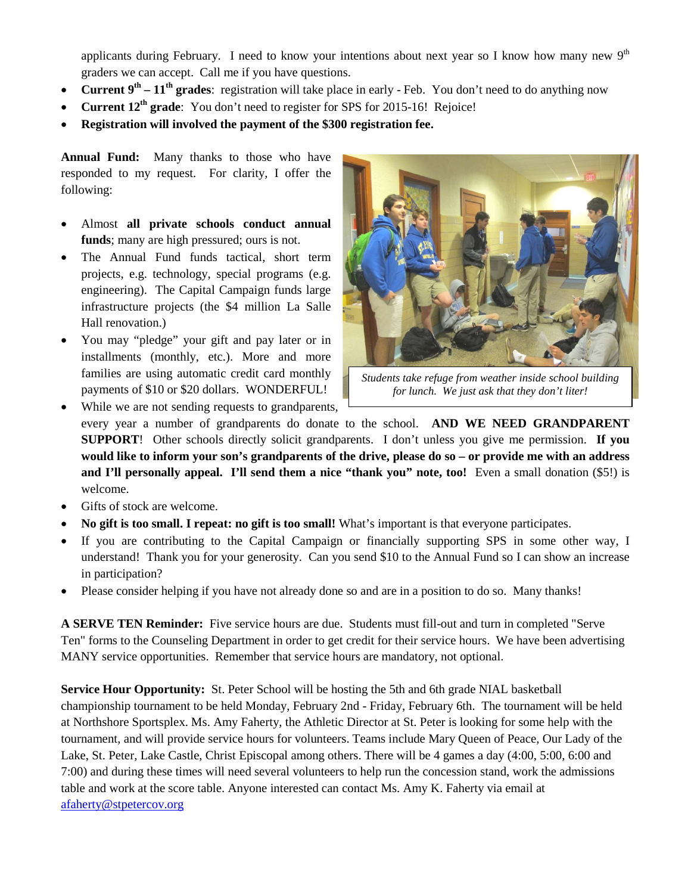applicants during February. I need to know your intentions about next year so I know how many new 9<sup>th</sup> graders we can accept. Call me if you have questions.

- **Current**  $9^{\text{th}} 11^{\text{th}}$  **grades:** registration will take place in early Feb. You don't need to do anything now
- **Current 12th grade**: You don't need to register for SPS for 2015-16! Rejoice!
- **Registration will involved the payment of the \$300 registration fee.**

**Annual Fund:** Many thanks to those who have responded to my request. For clarity, I offer the following:

- Almost **all private schools conduct annual funds**; many are high pressured; ours is not.
- The Annual Fund funds tactical, short term projects, e.g. technology, special programs (e.g. engineering). The Capital Campaign funds large infrastructure projects (the \$4 million La Salle Hall renovation.)
- You may "pledge" your gift and pay later or in installments (monthly, etc.). More and more families are using automatic credit card monthly payments of \$10 or \$20 dollars. WONDERFUL!



*Students take refuge from weather inside school building for lunch. We just ask that they don't liter!*

While we are not sending requests to grandparents, every year a number of grandparents do donate to the school. **AND WE NEED GRANDPARENT SUPPORT**! Other schools directly solicit grandparents. I don't unless you give me permission. **If you would like to inform your son's grandparents of the drive, please do so – or provide me with an address and I'll personally appeal. I'll send them a nice "thank you" note, too!** Even a small donation (\$5!) is welcome.

- Gifts of stock are welcome.
- **No gift is too small. I repeat: no gift is too small!** What's important is that everyone participates.
- If you are contributing to the Capital Campaign or financially supporting SPS in some other way, I understand! Thank you for your generosity. Can you send \$10 to the Annual Fund so I can show an increase in participation?
- Please consider helping if you have not already done so and are in a position to do so. Many thanks!

**A SERVE TEN Reminder:** Five service hours are due. Students must fill-out and turn in completed "Serve Ten" forms to the Counseling Department in order to get credit for their service hours. We have been advertising MANY service opportunities. Remember that service hours are mandatory, not optional.

**Service Hour Opportunity:** St. Peter School will be hosting the 5th and 6th grade NIAL basketball championship tournament to be held Monday, February 2nd - Friday, February 6th. The tournament will be held at Northshore Sportsplex. Ms. Amy Faherty, the Athletic Director at St. Peter is looking for some help with the tournament, and will provide service hours for volunteers. Teams include Mary Queen of Peace, Our Lady of the Lake, St. Peter, Lake Castle, Christ Episcopal among others. There will be 4 games a day (4:00, 5:00, 6:00 and 7:00) and during these times will need several volunteers to help run the concession stand, work the admissions table and work at the score table. Anyone interested can contact Ms. Amy K. Faherty via email at [afaherty@stpetercov.org](mailto:afaherty@stpetercov.org)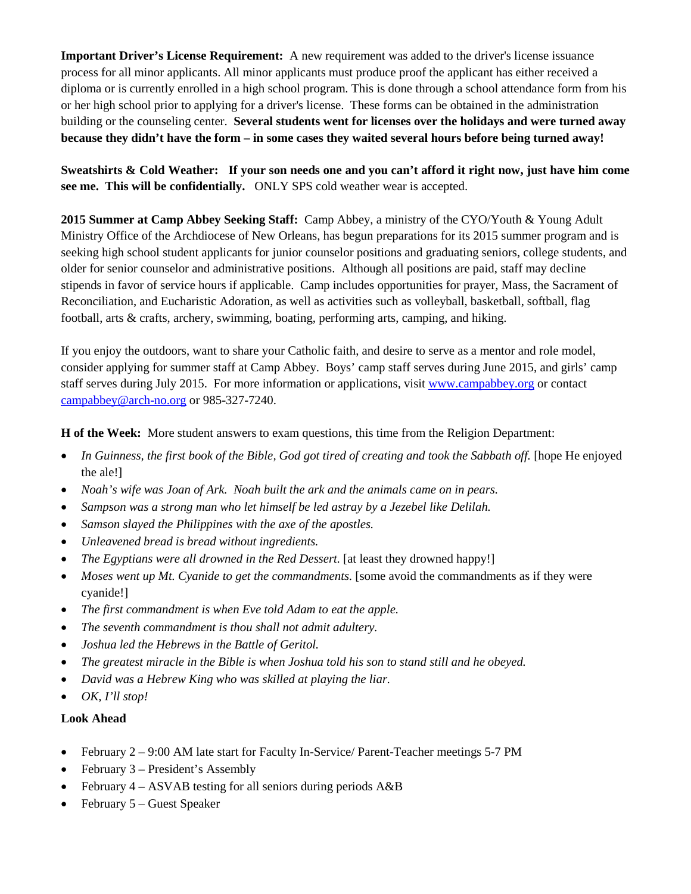**Important Driver's License Requirement:** A new requirement was added to the driver's license issuance process for all minor applicants. All minor applicants must produce proof the applicant has either received a diploma or is currently enrolled in a high school program. This is done through a school attendance form from his or her high school prior to applying for a driver's license. These forms can be obtained in the administration building or the counseling center. **Several students went for licenses over the holidays and were turned away because they didn't have the form – in some cases they waited several hours before being turned away!**

**Sweatshirts & Cold Weather: If your son needs one and you can't afford it right now, just have him come see me. This will be confidentially.** ONLY SPS cold weather wear is accepted.

**2015 Summer at Camp Abbey Seeking Staff:** Camp Abbey, a ministry of the CYO/Youth & Young Adult Ministry Office of the Archdiocese of New Orleans, has begun preparations for its 2015 summer program and is seeking high school student applicants for junior counselor positions and graduating seniors, college students, and older for senior counselor and administrative positions. Although all positions are paid, staff may decline stipends in favor of service hours if applicable. Camp includes opportunities for prayer, Mass, the Sacrament of Reconciliation, and Eucharistic Adoration, as well as activities such as volleyball, basketball, softball, flag football, arts & crafts, archery, swimming, boating, performing arts, camping, and hiking.

If you enjoy the outdoors, want to share your Catholic faith, and desire to serve as a mentor and role model, consider applying for summer staff at Camp Abbey. Boys' camp staff serves during June 2015, and girls' camp staff serves during July 2015. For more information or applications, visi[t www.campabbey.org](http://www.campabbey.org/) or contact [campabbey@arch-no.org](mailto:campabbey@arch-no.org) or 985-327-7240.

**H of the Week:** More student answers to exam questions, this time from the Religion Department:

- *In Guinness, the first book of the Bible, God got tired of creating and took the Sabbath off.* [hope He enjoyed the ale!]
- *Noah's wife was Joan of Ark. Noah built the ark and the animals came on in pears.*
- *Sampson was a strong man who let himself be led astray by a Jezebel like Delilah.*
- *Samson slayed the Philippines with the axe of the apostles.*
- *Unleavened bread is bread without ingredients.*
- *The Egyptians were all drowned in the Red Dessert.* [at least they drowned happy!]
- *Moses went up Mt. Cyanide to get the commandments.* [some avoid the commandments as if they were cyanide!]
- *The first commandment is when Eve told Adam to eat the apple.*
- *The seventh commandment is thou shall not admit adultery.*
- *Joshua led the Hebrews in the Battle of Geritol.*
- *The greatest miracle in the Bible is when Joshua told his son to stand still and he obeyed.*
- *David was a Hebrew King who was skilled at playing the liar.*
- *OK, I'll stop!*

### **Look Ahead**

- February 2 9:00 AM late start for Faculty In-Service/ Parent-Teacher meetings 5-7 PM
- February 3 President's Assembly
- February 4 ASVAB testing for all seniors during periods A&B
- February 5 Guest Speaker